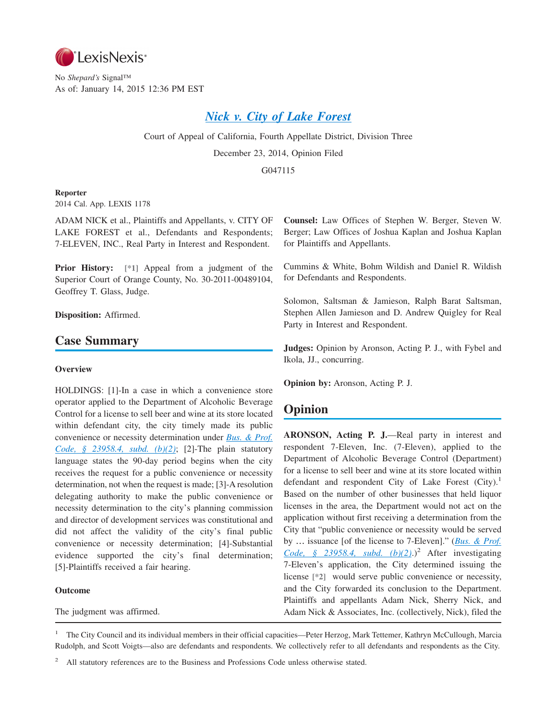

No *Shepard's* Signal™ As of: January 14, 2015 12:36 PM EST

# *[Nick v. City of Lake Forest](http://advance.lexis.com/api/document?collection=cases&id=urn:contentItem:5DX2-6CW1-F04B-N155-00000-00&context=1000516)*

Court of Appeal of California, Fourth Appellate District, Division Three December 23, 2014, Opinion Filed

G047115

## **Reporter**

2014 Cal. App. LEXIS 1178

ADAM NICK et al., Plaintiffs and Appellants, v. CITY OF LAKE FOREST et al., Defendants and Respondents; 7-ELEVEN, INC., Real Party in Interest and Respondent.

**Prior History: [\*1]** Appeal from a judgment of the Superior Court of Orange County, No. 30-2011-00489104, Geoffrey T. Glass, Judge.

**Disposition:** Affirmed.

## **Case Summary**

#### **Overview**

HOLDINGS: [1]-In a case in which a convenience store operator applied to the Department of Alcoholic Beverage Control for a license to sell beer and wine at its store located within defendant city, the city timely made its public convenience or necessity determination under *[Bus. & Prof.](http://advance.lexis.com/api/document?collection=statutes-legislation&id=urn:contentItem:4WN7-TBN0-R03K-T339-00000-00&context=1000516) [Code, § 23958.4, subd. \(b\)\(2\)](http://advance.lexis.com/api/document?collection=statutes-legislation&id=urn:contentItem:4WN7-TBN0-R03K-T339-00000-00&context=1000516)*; [2]-The plain statutory language states the 90-day period begins when the city receives the request for a public convenience or necessity determination, not when the request is made; [3]-A resolution delegating authority to make the public convenience or necessity determination to the city's planning commission and director of development services was constitutional and did not affect the validity of the city's final public convenience or necessity determination; [4]-Substantial evidence supported the city's final determination; [5]-Plaintiffs received a fair hearing.

## **Outcome**

The judgment was affirmed.

**Counsel:** Law Offices of Stephen W. Berger, Steven W. Berger; Law Offices of Joshua Kaplan and Joshua Kaplan for Plaintiffs and Appellants.

Cummins & White, Bohm Wildish and Daniel R. Wildish for Defendants and Respondents.

Solomon, Saltsman & Jamieson, Ralph Barat Saltsman, Stephen Allen Jamieson and D. Andrew Quigley for Real Party in Interest and Respondent.

**Judges:** Opinion by Aronson, Acting P. J., with Fybel and Ikola, JJ., concurring.

**Opinion by:** Aronson, Acting P. J.

## **Opinion**

**ARONSON, Acting P. J.**—Real party in interest and respondent 7-Eleven, Inc. (7-Eleven), applied to the Department of Alcoholic Beverage Control (Department) for a license to sell beer and wine at its store located within defendant and respondent City of Lake Forest  $(City)$ .<sup>1</sup> Based on the number of other businesses that held liquor licenses in the area, the Department would not act on the application without first receiving a determination from the City that "public convenience or necessity would be served by … issuance [of the license to 7-Eleven]." (*[Bus. & Prof.](http://advance.lexis.com/api/document?collection=statutes-legislation&id=urn:contentItem:4WN7-TBN0-R03K-T339-00000-00&context=1000516) Code, § 23958.4, subd.*  $(b)(2)$ .)<sup>2</sup> After investigating 7-Eleven's application, the City determined issuing the license **[\*2]** would serve public convenience or necessity, and the City forwarded its conclusion to the Department. Plaintiffs and appellants Adam Nick, Sherry Nick, and Adam Nick & Associates, Inc. (collectively, Nick), filed the

<sup>1</sup> The City Council and its individual members in their official capacities—Peter Herzog, Mark Tettemer, Kathryn McCullough, Marcia Rudolph, and Scott Voigts—also are defendants and respondents. We collectively refer to all defendants and respondents as the City.

<sup>2</sup> All statutory references are to the Business and Professions Code unless otherwise stated.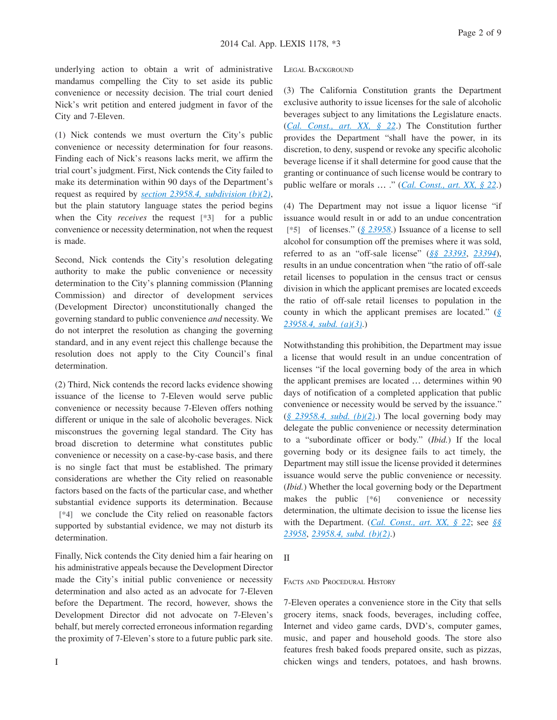underlying action to obtain a writ of administrative mandamus compelling the City to set aside its public convenience or necessity decision. The trial court denied Nick's writ petition and entered judgment in favor of the City and 7-Eleven.

(1) Nick contends we must overturn the City's public convenience or necessity determination for four reasons. Finding each of Nick's reasons lacks merit, we affirm the trial court's judgment. First, Nick contends the City failed to make its determination within 90 days of the Department's request as required by *[section 23958.4, subdivision \(b\)\(2\)](http://advance.lexis.com/api/document?collection=statutes-legislation&id=urn:contentItem:4WN7-TBN0-R03K-T339-00000-00&context=1000516)*, but the plain statutory language states the period begins when the City *receives* the request **[\*3]** for a public convenience or necessity determination, not when the request is made.

Second, Nick contends the City's resolution delegating authority to make the public convenience or necessity determination to the City's planning commission (Planning Commission) and director of development services (Development Director) unconstitutionally changed the governing standard to public convenience *and* necessity. We do not interpret the resolution as changing the governing standard, and in any event reject this challenge because the resolution does not apply to the City Council's final determination.

(2) Third, Nick contends the record lacks evidence showing issuance of the license to 7-Eleven would serve public convenience or necessity because 7-Eleven offers nothing different or unique in the sale of alcoholic beverages. Nick misconstrues the governing legal standard. The City has broad discretion to determine what constitutes public convenience or necessity on a case-by-case basis, and there is no single fact that must be established. The primary considerations are whether the City relied on reasonable factors based on the facts of the particular case, and whether substantial evidence supports its determination. Because **[\*4]** we conclude the City relied on reasonable factors supported by substantial evidence, we may not disturb its determination.

Finally, Nick contends the City denied him a fair hearing on his administrative appeals because the Development Director made the City's initial public convenience or necessity determination and also acted as an advocate for 7-Eleven before the Department. The record, however, shows the Development Director did not advocate on 7-Eleven's behalf, but merely corrected erroneous information regarding the proximity of 7-Eleven's store to a future public park site.

(3) The California Constitution grants the Department exclusive authority to issue licenses for the sale of alcoholic beverages subject to any limitations the Legislature enacts. (*[Cal. Const., art. XX, § 22](http://advance.lexis.com/api/document?collection=statutes-legislation&id=urn:contentItem:4WN1-NJK0-R03N-K09M-00000-00&context=1000516)*.) The Constitution further provides the Department "shall have the power, in its discretion, to deny, suspend or revoke any specific alcoholic beverage license if it shall determine for good cause that the granting or continuance of such license would be contrary to public welfare or morals … ." (*[Cal. Const., art. XX, § 22](http://advance.lexis.com/api/document?collection=statutes-legislation&id=urn:contentItem:4WN1-NJK0-R03N-K09M-00000-00&context=1000516)*.)

(4) The Department may not issue a liquor license "if issuance would result in or add to an undue concentration **[\*5]** of licenses." (*[§ 23958](http://advance.lexis.com/api/document?collection=statutes-legislation&id=urn:contentItem:4WN7-TBN0-R03K-T335-00000-00&context=1000516)*.) Issuance of a license to sell alcohol for consumption off the premises where it was sold, referred to as an "off-sale license" (*[§§ 23393](http://advance.lexis.com/api/document?collection=statutes-legislation&id=urn:contentItem:4WN7-SRR0-R03N-P06C-00000-00&context=1000516)*, *[23394](http://advance.lexis.com/api/document?collection=statutes-legislation&id=urn:contentItem:4WN7-TBN0-R03K-T2W6-00000-00&context=1000516)*), results in an undue concentration when "the ratio of off-sale retail licenses to population in the census tract or census division in which the applicant premises are located exceeds the ratio of off-sale retail licenses to population in the county in which the applicant premises are located." (*[§](http://advance.lexis.com/api/document?collection=statutes-legislation&id=urn:contentItem:4WN7-TBN0-R03K-T339-00000-00&context=1000516) [23958.4, subd. \(a\)\(3\)](http://advance.lexis.com/api/document?collection=statutes-legislation&id=urn:contentItem:4WN7-TBN0-R03K-T339-00000-00&context=1000516)*.)

Notwithstanding this prohibition, the Department may issue a license that would result in an undue concentration of licenses "if the local governing body of the area in which the applicant premises are located … determines within 90 days of notification of a completed application that public convenience or necessity would be served by the issuance."  $(\S$  23958.4, subd. (b)(2).) The local governing body may delegate the public convenience or necessity determination to a "subordinate officer or body." (*Ibid.*) If the local governing body or its designee fails to act timely, the Department may still issue the license provided it determines issuance would serve the public convenience or necessity. (*Ibid.*) Whether the local governing body or the Department makes the public **[\*6]** convenience or necessity determination, the ultimate decision to issue the license lies with the Department. (*[Cal. Const., art. XX, § 22](http://advance.lexis.com/api/document?collection=statutes-legislation&id=urn:contentItem:4WN1-NJK0-R03N-K09M-00000-00&context=1000516)*; see *[§§](http://advance.lexis.com/api/document?collection=statutes-legislation&id=urn:contentItem:4WN7-TBN0-R03K-T335-00000-00&context=1000516) [23958](http://advance.lexis.com/api/document?collection=statutes-legislation&id=urn:contentItem:4WN7-TBN0-R03K-T335-00000-00&context=1000516)*, *[23958.4, subd. \(b\)\(2\)](http://advance.lexis.com/api/document?collection=statutes-legislation&id=urn:contentItem:4WN7-TBN0-R03K-T339-00000-00&context=1000516)*.)

### II

#### FACTS AND PROCEDURAL HISTORY

7-Eleven operates a convenience store in the City that sells grocery items, snack foods, beverages, including coffee, Internet and video game cards, DVD's, computer games, music, and paper and household goods. The store also features fresh baked foods prepared onsite, such as pizzas, chicken wings and tenders, potatoes, and hash browns.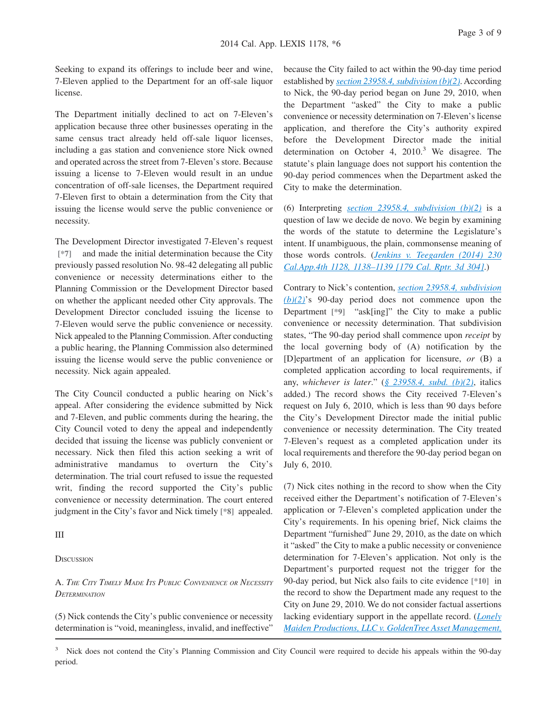Seeking to expand its offerings to include beer and wine, 7-Eleven applied to the Department for an off-sale liquor license.

The Department initially declined to act on 7-Eleven's application because three other businesses operating in the same census tract already held off-sale liquor licenses, including a gas station and convenience store Nick owned and operated across the street from 7-Eleven's store. Because issuing a license to 7-Eleven would result in an undue concentration of off-sale licenses, the Department required 7-Eleven first to obtain a determination from the City that issuing the license would serve the public convenience or necessity.

The Development Director investigated 7-Eleven's request **[\*7]** and made the initial determination because the City previously passed resolution No. 98-42 delegating all public convenience or necessity determinations either to the Planning Commission or the Development Director based on whether the applicant needed other City approvals. The Development Director concluded issuing the license to 7-Eleven would serve the public convenience or necessity. Nick appealed to the Planning Commission. After conducting a public hearing, the Planning Commission also determined issuing the license would serve the public convenience or necessity. Nick again appealed.

The City Council conducted a public hearing on Nick's appeal. After considering the evidence submitted by Nick and 7-Eleven, and public comments during the hearing, the City Council voted to deny the appeal and independently decided that issuing the license was publicly convenient or necessary. Nick then filed this action seeking a writ of administrative mandamus to overturn the City's determination. The trial court refused to issue the requested writ, finding the record supported the City's public convenience or necessity determination. The court entered judgment in the City's favor and Nick timely **[\*8]** appealed.

#### III

**DISCUSSION** 

A. *THE CITY TIMELY MADE ITS PUBLIC CONVENIENCE OR NECESSITY DETERMINATION*

(5) Nick contends the City's public convenience or necessity determination is "void, meaningless, invalid, and ineffective"

because the City failed to act within the 90-day time period established by *[section 23958.4, subdivision \(b\)\(2\)](http://advance.lexis.com/api/document?collection=statutes-legislation&id=urn:contentItem:4WN7-TBN0-R03K-T339-00000-00&context=1000516)*. According to Nick, the 90-day period began on June 29, 2010, when the Department "asked" the City to make a public convenience or necessity determination on 7-Eleven's license application, and therefore the City's authority expired before the Development Director made the initial determination on October 4,  $2010<sup>3</sup>$  We disagree. The statute's plain language does not support his contention the 90-day period commences when the Department asked the City to make the determination.

(6) Interpreting *[section 23958.4, subdivision \(b\)\(2\)](http://advance.lexis.com/api/document?collection=statutes-legislation&id=urn:contentItem:4WN7-TBN0-R03K-T339-00000-00&context=1000516)* is a question of law we decide de novo. We begin by examining the words of the statute to determine the Legislature's intent. If unambiguous, the plain, commonsense meaning of those words controls. (*[Jenkins v. Teegarden \(2014\) 230](http://advance.lexis.com/api/document?collection=cases&id=urn:contentItem:5DF1-PX11-F04B-N0K7-00000-00&context=1000516) [Cal.App.4th 1128, 1138–1139 \[179 Cal. Rptr. 3d 304\]](http://advance.lexis.com/api/document?collection=cases&id=urn:contentItem:5DF1-PX11-F04B-N0K7-00000-00&context=1000516)*.)

Contrary to Nick's contention, *[section 23958.4, subdivision](http://advance.lexis.com/api/document?collection=statutes-legislation&id=urn:contentItem:4WN7-TBN0-R03K-T339-00000-00&context=1000516) [\(b\)\(2\)](http://advance.lexis.com/api/document?collection=statutes-legislation&id=urn:contentItem:4WN7-TBN0-R03K-T339-00000-00&context=1000516)*'s 90-day period does not commence upon the Department **[\*9]** "ask[ing]" the City to make a public convenience or necessity determination. That subdivision states, "The 90-day period shall commence upon *receipt* by the local governing body of (A) notification by the [D]epartment of an application for licensure, *or* (B) a completed application according to local requirements, if any, *whichever is later*." (*[§ 23958.4, subd. \(b\)\(2\)](http://advance.lexis.com/api/document?collection=statutes-legislation&id=urn:contentItem:4WN7-TBN0-R03K-T339-00000-00&context=1000516)*, italics added.) The record shows the City received 7-Eleven's request on July 6, 2010, which is less than 90 days before the City's Development Director made the initial public convenience or necessity determination. The City treated 7-Eleven's request as a completed application under its local requirements and therefore the 90-day period began on July 6, 2010.

(7) Nick cites nothing in the record to show when the City received either the Department's notification of 7-Eleven's application or 7-Eleven's completed application under the City's requirements. In his opening brief, Nick claims the Department "furnished" June 29, 2010, as the date on which it "asked" the City to make a public necessity or convenience determination for 7-Eleven's application. Not only is the Department's purported request not the trigger for the 90-day period, but Nick also fails to cite evidence **[\*10]** in the record to show the Department made any request to the City on June 29, 2010. We do not consider factual assertions lacking evidentiary support in the appellate record. (*[Lonely](http://advance.lexis.com/api/document?collection=cases&id=urn:contentItem:54CD-RMY1-F04B-N036-00000-00&context=1000516) [Maiden Productions, LLC v. GoldenTree Asset Management,](http://advance.lexis.com/api/document?collection=cases&id=urn:contentItem:54CD-RMY1-F04B-N036-00000-00&context=1000516)*

<sup>&</sup>lt;sup>3</sup> Nick does not contend the City's Planning Commission and City Council were required to decide his appeals within the 90-day period.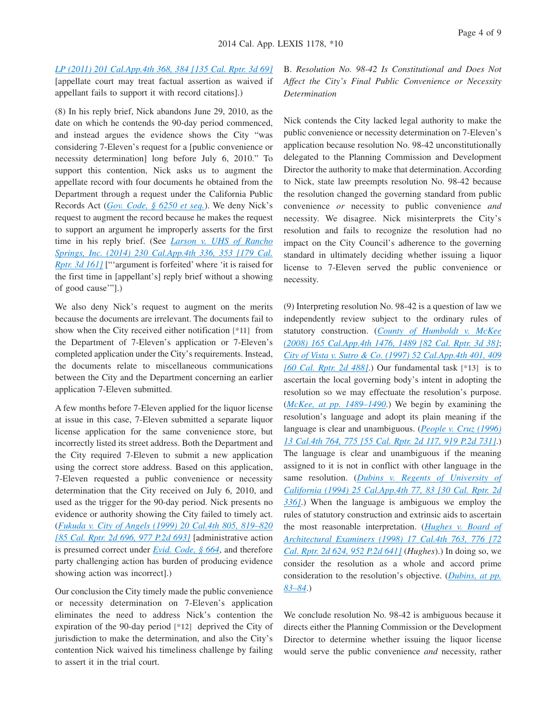*[LP \(2011\) 201 Cal.App.4th 368, 384 \[135 Cal. Rptr. 3d 69\]](http://advance.lexis.com/api/document?collection=cases&id=urn:contentItem:54CD-RMY1-F04B-N036-00000-00&context=1000516)*

[appellate court may treat factual assertion as waived if appellant fails to support it with record citations].)

(8) In his reply brief, Nick abandons June 29, 2010, as the date on which he contends the 90-day period commenced, and instead argues the evidence shows the City "was considering 7-Eleven's request for a [public convenience or necessity determination] long before July 6, 2010." To support this contention, Nick asks us to augment the appellate record with four documents he obtained from the Department through a request under the California Public Records Act (*[Gov. Code, § 6250 et seq.](http://advance.lexis.com/api/document?collection=statutes-legislation&id=urn:contentItem:4WK3-HY70-R03K-G2PX-00000-00&context=1000516)*). We deny Nick's request to augment the record because he makes the request to support an argument he improperly asserts for the first time in his reply brief. (See *[Larson v. UHS of Rancho](http://advance.lexis.com/api/document?collection=cases&id=urn:contentItem:5D9C-3RW1-F04B-N0DS-00000-00&context=1000516) [Springs, Inc. \(2014\) 230 Cal.App.4th 336, 353 \[179 Cal.](http://advance.lexis.com/api/document?collection=cases&id=urn:contentItem:5D9C-3RW1-F04B-N0DS-00000-00&context=1000516) [Rptr. 3d 161\]](http://advance.lexis.com/api/document?collection=cases&id=urn:contentItem:5D9C-3RW1-F04B-N0DS-00000-00&context=1000516)* ["'argument is forfeited' where 'it is raised for the first time in [appellant's] reply brief without a showing of good cause'"].)

We also deny Nick's request to augment on the merits because the documents are irrelevant. The documents fail to show when the City received either notification **[\*11]** from the Department of 7-Eleven's application or 7-Eleven's completed application under the City's requirements. Instead, the documents relate to miscellaneous communications between the City and the Department concerning an earlier application 7-Eleven submitted.

A few months before 7-Eleven applied for the liquor license at issue in this case, 7-Eleven submitted a separate liquor license application for the same convenience store, but incorrectly listed its street address. Both the Department and the City required 7-Eleven to submit a new application using the correct store address. Based on this application, 7-Eleven requested a public convenience or necessity determination that the City received on July 6, 2010, and used as the trigger for the 90-day period. Nick presents no evidence or authority showing the City failed to timely act. (*[Fukuda v. City of Angels \(1999\) 20 Cal.4th 805, 819–820](http://advance.lexis.com/api/document?collection=cases&id=urn:contentItem:3WS7-FXS0-0039-4414-00000-00&context=1000516) [\[85 Cal. Rptr. 2d 696, 977 P.2d 693\]](http://advance.lexis.com/api/document?collection=cases&id=urn:contentItem:3WS7-FXS0-0039-4414-00000-00&context=1000516)* [administrative action is presumed correct under *[Evid. Code, § 664](http://advance.lexis.com/api/document?collection=statutes-legislation&id=urn:contentItem:4WK3-CVG0-R03M-Y4X8-00000-00&context=1000516)*, and therefore party challenging action has burden of producing evidence showing action was incorrect].)

Our conclusion the City timely made the public convenience or necessity determination on 7-Eleven's application eliminates the need to address Nick's contention the expiration of the 90-day period **[\*12]** deprived the City of jurisdiction to make the determination, and also the City's contention Nick waived his timeliness challenge by failing to assert it in the trial court.

B. *Resolution No. 98-42 Is Constitutional and Does Not Affect the City's Final Public Convenience or Necessity Determination*

Nick contends the City lacked legal authority to make the public convenience or necessity determination on 7-Eleven's application because resolution No. 98-42 unconstitutionally delegated to the Planning Commission and Development Director the authority to make that determination. According to Nick, state law preempts resolution No. 98-42 because the resolution changed the governing standard from public convenience *or* necessity to public convenience *and* necessity. We disagree. Nick misinterprets the City's resolution and fails to recognize the resolution had no impact on the City Council's adherence to the governing standard in ultimately deciding whether issuing a liquor license to 7-Eleven served the public convenience or necessity.

(9) Interpreting resolution No. 98-42 is a question of law we independently review subject to the ordinary rules of statutory construction. (*[County of Humboldt v. McKee](http://advance.lexis.com/api/document?collection=cases&id=urn:contentItem:4T79-8M00-TX4N-G0K1-00000-00&context=1000516) [\(2008\) 165 Cal.App.4th 1476, 1489 \[82 Cal. Rptr. 3d 38\]](http://advance.lexis.com/api/document?collection=cases&id=urn:contentItem:4T79-8M00-TX4N-G0K1-00000-00&context=1000516)*; *[City of Vista v. Sutro & Co. \(1997\) 52 Cal.App.4th 401, 409](http://advance.lexis.com/api/document?collection=cases&id=urn:contentItem:3RJN-2DT0-0039-44M2-00000-00&context=1000516) [\[60 Cal. Rptr. 2d 488\]](http://advance.lexis.com/api/document?collection=cases&id=urn:contentItem:3RJN-2DT0-0039-44M2-00000-00&context=1000516)*.) Our fundamental task **[\*13]** is to ascertain the local governing body's intent in adopting the resolution so we may effectuate the resolution's purpose. (*[McKee, at pp. 1489–1490](http://advance.lexis.com/api/document?collection=cases&id=urn:contentItem:4T79-8M00-TX4N-G0K1-00000-00&context=1000516)*.) We begin by examining the resolution's language and adopt its plain meaning if the language is clear and unambiguous. (*[People v. Cruz \(1996\)](http://advance.lexis.com/api/document?collection=cases&id=urn:contentItem:3RX4-0010-003D-J2N1-00000-00&context=1000516) [13 Cal.4th 764, 775 \[55 Cal. Rptr. 2d 117, 919 P.2d 731\]](http://advance.lexis.com/api/document?collection=cases&id=urn:contentItem:3RX4-0010-003D-J2N1-00000-00&context=1000516)*.) The language is clear and unambiguous if the meaning assigned to it is not in conflict with other language in the same resolution. (*[Dubins v. Regents of University of](http://advance.lexis.com/api/document?collection=cases&id=urn:contentItem:3RX6-G440-003D-J10B-00000-00&context=1000516) [California \(1994\) 25 Cal.App.4th 77, 83 \[30 Cal. Rptr. 2d](http://advance.lexis.com/api/document?collection=cases&id=urn:contentItem:3RX6-G440-003D-J10B-00000-00&context=1000516) [336\]](http://advance.lexis.com/api/document?collection=cases&id=urn:contentItem:3RX6-G440-003D-J10B-00000-00&context=1000516)*.) When the language is ambiguous we employ the rules of statutory construction and extrinsic aids to ascertain the most reasonable interpretation. (*[Hughes v. Board of](http://advance.lexis.com/api/document?collection=cases&id=urn:contentItem:3S9T-NPF0-0039-42FC-00000-00&context=1000516) [Architectural Examiners \(1998\) 17 Cal.4th 763, 776 \[72](http://advance.lexis.com/api/document?collection=cases&id=urn:contentItem:3S9T-NPF0-0039-42FC-00000-00&context=1000516) [Cal. Rptr. 2d 624, 952 P.2d 641\]](http://advance.lexis.com/api/document?collection=cases&id=urn:contentItem:3S9T-NPF0-0039-42FC-00000-00&context=1000516)* (*Hughes*).) In doing so, we consider the resolution as a whole and accord prime consideration to the resolution's objective. (*[Dubins, at pp.](http://advance.lexis.com/api/document?collection=cases&id=urn:contentItem:3RX6-G440-003D-J10B-00000-00&context=1000516) [83–84](http://advance.lexis.com/api/document?collection=cases&id=urn:contentItem:3RX6-G440-003D-J10B-00000-00&context=1000516)*.)

We conclude resolution No. 98-42 is ambiguous because it directs either the Planning Commission or the Development Director to determine whether issuing the liquor license would serve the public convenience *and* necessity, rather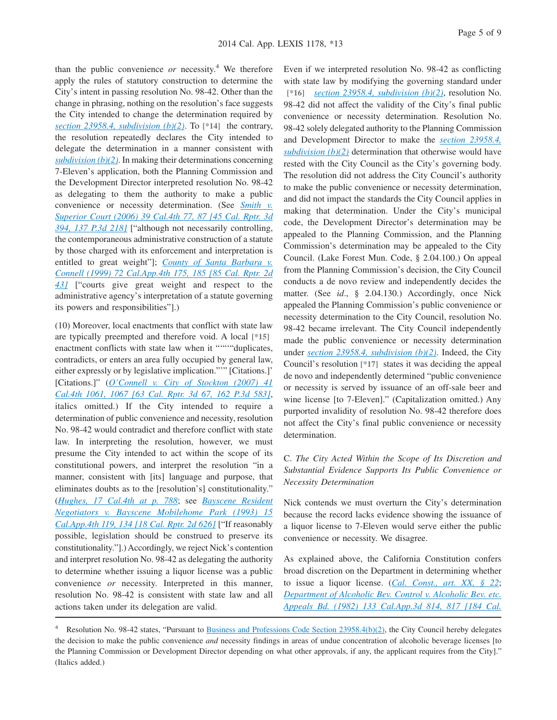than the public convenience  $or$  necessity.<sup>4</sup> We therefore apply the rules of statutory construction to determine the City's intent in passing resolution No. 98-42. Other than the change in phrasing, nothing on the resolution's face suggests the City intended to change the determination required by *[section 23958.4, subdivision \(b\)\(2\)](http://advance.lexis.com/api/document?collection=statutes-legislation&id=urn:contentItem:4WN7-TBN0-R03K-T339-00000-00&context=1000516)*. To **[\*14]** the contrary, the resolution repeatedly declares the City intended to delegate the determination in a manner consistent with *[subdivision \(b\)\(2\)](http://advance.lexis.com/api/document?collection=statutes-legislation&id=urn:contentItem:4WN7-TBN0-R03K-T339-00000-00&context=1000516)*. In making their determinations concerning 7-Eleven's application, both the Planning Commission and the Development Director interpreted resolution No. 98-42 as delegating to them the authority to make a public convenience or necessity determination. (See *[Smith v.](http://advance.lexis.com/api/document?collection=cases&id=urn:contentItem:4KCJ-BS30-0039-42MW-00000-00&context=1000516) [Superior Court \(2006\) 39 Cal.4th 77, 87 \[45 Cal. Rptr. 3d](http://advance.lexis.com/api/document?collection=cases&id=urn:contentItem:4KCJ-BS30-0039-42MW-00000-00&context=1000516) [394, 137 P.3d 218\]](http://advance.lexis.com/api/document?collection=cases&id=urn:contentItem:4KCJ-BS30-0039-42MW-00000-00&context=1000516)* ["although not necessarily controlling, the contemporaneous administrative construction of a statute by those charged with its enforcement and interpretation is entitled to great weight"]; *[County of Santa Barbara v.](http://advance.lexis.com/api/document?collection=cases&id=urn:contentItem:3WH0-FH20-0039-41HM-00000-00&context=1000516) [Connell \(1999\) 72 Cal.App.4th 175, 185 \[85 Cal. Rptr. 2d](http://advance.lexis.com/api/document?collection=cases&id=urn:contentItem:3WH0-FH20-0039-41HM-00000-00&context=1000516) [43\]](http://advance.lexis.com/api/document?collection=cases&id=urn:contentItem:3WH0-FH20-0039-41HM-00000-00&context=1000516)* ["courts give great weight and respect to the administrative agency's interpretation of a statute governing its powers and responsibilities"].)

(10) Moreover, local enactments that conflict with state law are typically preempted and therefore void. A local **[\*15]** enactment conflicts with state law when it """"duplicates, contradicts, or enters an area fully occupied by general law, either expressly or by legislative implication."'" [Citations.]' [Citations.]" (*[O'Connell v. City of Stockton \(2007\) 41](http://advance.lexis.com/api/document?collection=cases&id=urn:contentItem:4P8T-6N60-TXFN-823W-00000-00&context=1000516) [Cal.4th 1061, 1067 \[63 Cal. Rptr. 3d 67, 162 P.3d 583\]](http://advance.lexis.com/api/document?collection=cases&id=urn:contentItem:4P8T-6N60-TXFN-823W-00000-00&context=1000516)*, italics omitted.) If the City intended to require a determination of public convenience and necessity, resolution No. 98-42 would contradict and therefore conflict with state law. In interpreting the resolution, however, we must presume the City intended to act within the scope of its constitutional powers, and interpret the resolution "in a manner, consistent with [its] language and purpose, that eliminates doubts as to the [resolution's] constitutionality." (*[Hughes, 17 Cal.4th at p. 788](http://advance.lexis.com/api/document?collection=cases&id=urn:contentItem:3S9T-NPF0-0039-42FC-00000-00&context=1000516)*; see *[Bayscene Resident](http://advance.lexis.com/api/document?collection=cases&id=urn:contentItem:3RX6-GJ30-003D-J2MJ-00000-00&context=1000516) [Negotiators v. Bayscene Mobilehome Park \(1993\) 15](http://advance.lexis.com/api/document?collection=cases&id=urn:contentItem:3RX6-GJ30-003D-J2MJ-00000-00&context=1000516) [Cal.App.4th 119, 134 \[18 Cal. Rptr. 2d 626\]](http://advance.lexis.com/api/document?collection=cases&id=urn:contentItem:3RX6-GJ30-003D-J2MJ-00000-00&context=1000516)* ["If reasonably possible, legislation should be construed to preserve its constitutionality."].) Accordingly, we reject Nick's contention and interpret resolution No. 98-42 as delegating the authority to determine whether issuing a liquor license was a public convenience *or* necessity. Interpreted in this manner, resolution No. 98-42 is consistent with state law and all actions taken under its delegation are valid.

Even if we interpreted resolution No. 98-42 as conflicting with state law by modifying the governing standard under **[\*16]** *[section 23958.4, subdivision \(b\)\(2\)](http://advance.lexis.com/api/document?collection=statutes-legislation&id=urn:contentItem:4WN7-TBN0-R03K-T339-00000-00&context=1000516)*, resolution No. 98-42 did not affect the validity of the City's final public convenience or necessity determination. Resolution No. 98-42 solely delegated authority to the Planning Commission and Development Director to make the *[section 23958.4,](http://advance.lexis.com/api/document?collection=statutes-legislation&id=urn:contentItem:4WN7-TBN0-R03K-T339-00000-00&context=1000516) [subdivision \(b\)\(2\)](http://advance.lexis.com/api/document?collection=statutes-legislation&id=urn:contentItem:4WN7-TBN0-R03K-T339-00000-00&context=1000516)* determination that otherwise would have rested with the City Council as the City's governing body. The resolution did not address the City Council's authority to make the public convenience or necessity determination, and did not impact the standards the City Council applies in making that determination. Under the City's municipal code, the Development Director's determination may be appealed to the Planning Commission, and the Planning Commission's determination may be appealed to the City Council. (Lake Forest Mun. Code, § 2.04.100.) On appeal from the Planning Commission's decision, the City Council conducts a de novo review and independently decides the matter. (See *id*., § 2.04.130.) Accordingly, once Nick appealed the Planning Commission's public convenience or necessity determination to the City Council, resolution No. 98-42 became irrelevant. The City Council independently made the public convenience or necessity determination under *[section 23958.4, subdivision \(b\)\(2\)](http://advance.lexis.com/api/document?collection=statutes-legislation&id=urn:contentItem:4WN7-TBN0-R03K-T339-00000-00&context=1000516)*. Indeed, the City Council's resolution **[\*17]** states it was deciding the appeal de novo and independently determined "public convenience or necessity is served by issuance of an off-sale beer and wine license [to 7-Eleven]." (Capitalization omitted.) Any purported invalidity of resolution No. 98-42 therefore does not affect the City's final public convenience or necessity determination.

## C. *The City Acted Within the Scope of Its Discretion and Substantial Evidence Supports Its Public Convenience or Necessity Determination*

Nick contends we must overturn the City's determination because the record lacks evidence showing the issuance of a liquor license to 7-Eleven would serve either the public convenience or necessity. We disagree.

As explained above, the California Constitution confers broad discretion on the Department in determining whether to issue a liquor license. (*[Cal. Const., art. XX, § 22](http://advance.lexis.com/api/document?collection=statutes-legislation&id=urn:contentItem:4WN1-NJK0-R03N-K09M-00000-00&context=1000516)*; *[Department of Alcoholic Bev. Control v. Alcoholic Bev. etc.](http://advance.lexis.com/api/document?collection=cases&id=urn:contentItem:3RX6-MGK0-003D-J4R3-00000-00&context=1000516) [Appeals Bd. \(1982\) 133 Cal.App.3d 814, 817 \[184 Cal.](http://advance.lexis.com/api/document?collection=cases&id=urn:contentItem:3RX6-MGK0-003D-J4R3-00000-00&context=1000516)*

<sup>4</sup> Resolution No. 98-42 states, "Pursuant to [Business and Professions Code Section 23958.4\(b\)\(2\),](http://advance.lexis.com/api/document?collection=statutes-legislation&id=urn:contentItem:4WN7-TBN0-R03K-T339-00000-00&context=1000516) the City Council hereby delegates the decision to make the public convenience *and* necessity findings in areas of undue concentration of alcoholic beverage licenses [to the Planning Commission or Development Director depending on what other approvals, if any, the applicant requires from the City]." (Italics added.)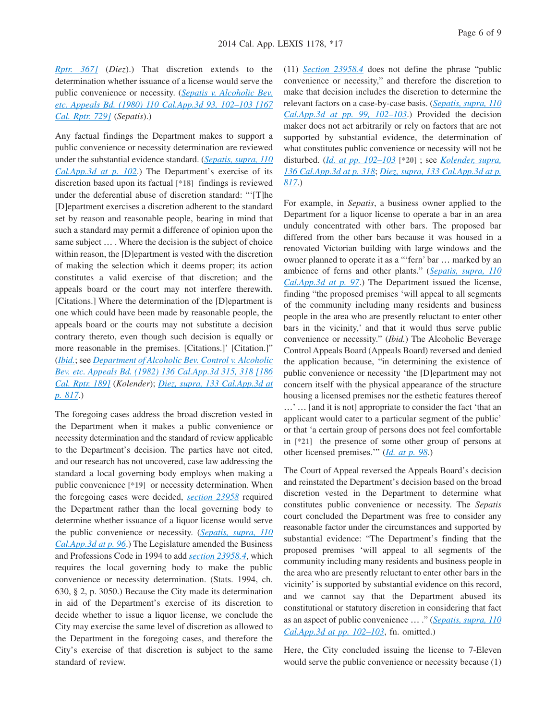*[Rptr. 367\]](http://advance.lexis.com/api/document?collection=cases&id=urn:contentItem:3RX6-MGK0-003D-J4R3-00000-00&context=1000516)* (*Diez*).) That discretion extends to the determination whether issuance of a license would serve the public convenience or necessity. (*[Sepatis v. Alcoholic Bev.](http://advance.lexis.com/api/document?collection=cases&id=urn:contentItem:3S11-SRM0-003C-R443-00000-00&context=1000516) [etc. Appeals Bd. \(1980\) 110 Cal.App.3d 93, 102–103 \[167](http://advance.lexis.com/api/document?collection=cases&id=urn:contentItem:3S11-SRM0-003C-R443-00000-00&context=1000516) [Cal. Rptr. 729\]](http://advance.lexis.com/api/document?collection=cases&id=urn:contentItem:3S11-SRM0-003C-R443-00000-00&context=1000516)* (*Sepatis*).)

Any factual findings the Department makes to support a public convenience or necessity determination are reviewed under the substantial evidence standard. (*[Sepatis, supra, 110](http://advance.lexis.com/api/document?collection=cases&id=urn:contentItem:3S11-SRM0-003C-R443-00000-00&context=1000516) [Cal.App.3d at p. 102](http://advance.lexis.com/api/document?collection=cases&id=urn:contentItem:3S11-SRM0-003C-R443-00000-00&context=1000516)*.) The Department's exercise of its discretion based upon its factual **[\*18]** findings is reviewed under the deferential abuse of discretion standard: "'[T]he [D]epartment exercises a discretion adherent to the standard set by reason and reasonable people, bearing in mind that such a standard may permit a difference of opinion upon the same subject … . Where the decision is the subject of choice within reason, the [D]epartment is vested with the discretion of making the selection which it deems proper; its action constitutes a valid exercise of that discretion; and the appeals board or the court may not interfere therewith. [Citations.] Where the determination of the [D]epartment is one which could have been made by reasonable people, the appeals board or the courts may not substitute a decision contrary thereto, even though such decision is equally or more reasonable in the premises. [Citations.]' [Citation.]" (*[Ibid.](http://advance.lexis.com/api/document?collection=cases&id=urn:contentItem:3S11-SRM0-003C-R443-00000-00&context=1000516)*; see *[Department of Alcoholic Bev. Control v. Alcoholic](http://advance.lexis.com/api/document?collection=cases&id=urn:contentItem:3RX6-MFC0-003D-J4DJ-00000-00&context=1000516) [Bev. etc. Appeals Bd. \(1982\) 136 Cal.App.3d 315, 318 \[186](http://advance.lexis.com/api/document?collection=cases&id=urn:contentItem:3RX6-MFC0-003D-J4DJ-00000-00&context=1000516) [Cal. Rptr. 189\]](http://advance.lexis.com/api/document?collection=cases&id=urn:contentItem:3RX6-MFC0-003D-J4DJ-00000-00&context=1000516)* (*Kolender*); *[Diez, supra, 133 Cal.App.3d at](http://advance.lexis.com/api/document?collection=cases&id=urn:contentItem:3RX6-MGK0-003D-J4R3-00000-00&context=1000516) [p. 817](http://advance.lexis.com/api/document?collection=cases&id=urn:contentItem:3RX6-MGK0-003D-J4R3-00000-00&context=1000516)*.)

The foregoing cases address the broad discretion vested in the Department when it makes a public convenience or necessity determination and the standard of review applicable to the Department's decision. The parties have not cited, and our research has not uncovered, case law addressing the standard a local governing body employs when making a public convenience **[\*19]** or necessity determination. When the foregoing cases were decided, *[section 23958](http://advance.lexis.com/api/document?collection=statutes-legislation&id=urn:contentItem:4WN7-TBN0-R03K-T335-00000-00&context=1000516)* required the Department rather than the local governing body to determine whether issuance of a liquor license would serve the public convenience or necessity. (*[Sepatis, supra, 110](http://advance.lexis.com/api/document?collection=cases&id=urn:contentItem:3S11-SRM0-003C-R443-00000-00&context=1000516) [Cal.App.3d at p. 96](http://advance.lexis.com/api/document?collection=cases&id=urn:contentItem:3S11-SRM0-003C-R443-00000-00&context=1000516)*.) The Legislature amended the Business and Professions Code in 1994 to add *[section 23958.4](http://advance.lexis.com/api/document?collection=statutes-legislation&id=urn:contentItem:4WN7-TBN0-R03K-T339-00000-00&context=1000516)*, which requires the local governing body to make the public convenience or necessity determination. (Stats. 1994, ch. 630, § 2, p. 3050.) Because the City made its determination in aid of the Department's exercise of its discretion to decide whether to issue a liquor license, we conclude the City may exercise the same level of discretion as allowed to the Department in the foregoing cases, and therefore the City's exercise of that discretion is subject to the same standard of review.

(11) *[Section 23958.4](http://advance.lexis.com/api/document?collection=statutes-legislation&id=urn:contentItem:4WN7-TBN0-R03K-T339-00000-00&context=1000516)* does not define the phrase "public convenience or necessity," and therefore the discretion to make that decision includes the discretion to determine the relevant factors on a case-by-case basis. (*[Sepatis, supra, 110](http://advance.lexis.com/api/document?collection=cases&id=urn:contentItem:3S11-SRM0-003C-R443-00000-00&context=1000516) [Cal.App.3d at pp. 99, 102–103](http://advance.lexis.com/api/document?collection=cases&id=urn:contentItem:3S11-SRM0-003C-R443-00000-00&context=1000516)*.) Provided the decision maker does not act arbitrarily or rely on factors that are not supported by substantial evidence, the determination of what constitutes public convenience or necessity will not be disturbed. (*[Id. at pp. 102–103](http://advance.lexis.com/api/document?collection=cases&id=urn:contentItem:3S11-SRM0-003C-R443-00000-00&context=1000516)* **[\*20]** ; see *[Kolender, supra,](http://advance.lexis.com/api/document?collection=cases&id=urn:contentItem:3RX6-MFC0-003D-J4DJ-00000-00&context=1000516) [136 Cal.App.3d at p. 318](http://advance.lexis.com/api/document?collection=cases&id=urn:contentItem:3RX6-MFC0-003D-J4DJ-00000-00&context=1000516)*; *[Diez, supra, 133 Cal.App.3d at p.](http://advance.lexis.com/api/document?collection=cases&id=urn:contentItem:3RX6-MGK0-003D-J4R3-00000-00&context=1000516) [817](http://advance.lexis.com/api/document?collection=cases&id=urn:contentItem:3RX6-MGK0-003D-J4R3-00000-00&context=1000516)*.)

For example, in *Sepatis*, a business owner applied to the Department for a liquor license to operate a bar in an area unduly concentrated with other bars. The proposed bar differed from the other bars because it was housed in a renovated Victorian building with large windows and the owner planned to operate it as a "'fern' bar … marked by an ambience of ferns and other plants." (*[Sepatis, supra, 110](http://advance.lexis.com/api/document?collection=cases&id=urn:contentItem:3S11-SRM0-003C-R443-00000-00&context=1000516) [Cal.App.3d at p. 97](http://advance.lexis.com/api/document?collection=cases&id=urn:contentItem:3S11-SRM0-003C-R443-00000-00&context=1000516)*.) The Department issued the license, finding "the proposed premises 'will appeal to all segments of the community including many residents and business people in the area who are presently reluctant to enter other bars in the vicinity,' and that it would thus serve public convenience or necessity." (*Ibid.*) The Alcoholic Beverage Control Appeals Board (Appeals Board) reversed and denied the application because, "in determining the existence of public convenience or necessity 'the [D]epartment may not concern itself with the physical appearance of the structure housing a licensed premises nor the esthetic features thereof …' … [and it is not] appropriate to consider the fact 'that an applicant would cater to a particular segment of the public' or that 'a certain group of persons does not feel comfortable in **[\*21]** the presence of some other group of persons at other licensed premises.'" (*[Id. at p. 98](http://advance.lexis.com/api/document?collection=cases&id=urn:contentItem:3S11-SRM0-003C-R443-00000-00&context=1000516)*.)

The Court of Appeal reversed the Appeals Board's decision and reinstated the Department's decision based on the broad discretion vested in the Department to determine what constitutes public convenience or necessity. The *Sepatis* court concluded the Department was free to consider any reasonable factor under the circumstances and supported by substantial evidence: "The Department's finding that the proposed premises 'will appeal to all segments of the community including many residents and business people in the area who are presently reluctant to enter other bars in the vicinity' is supported by substantial evidence on this record, and we cannot say that the Department abused its constitutional or statutory discretion in considering that fact as an aspect of public convenience … ." (*[Sepatis, supra, 110](http://advance.lexis.com/api/document?collection=cases&id=urn:contentItem:3S11-SRM0-003C-R443-00000-00&context=1000516) [Cal.App.3d at pp. 102–103](http://advance.lexis.com/api/document?collection=cases&id=urn:contentItem:3S11-SRM0-003C-R443-00000-00&context=1000516)*, fn. omitted.)

Here, the City concluded issuing the license to 7-Eleven would serve the public convenience or necessity because (1)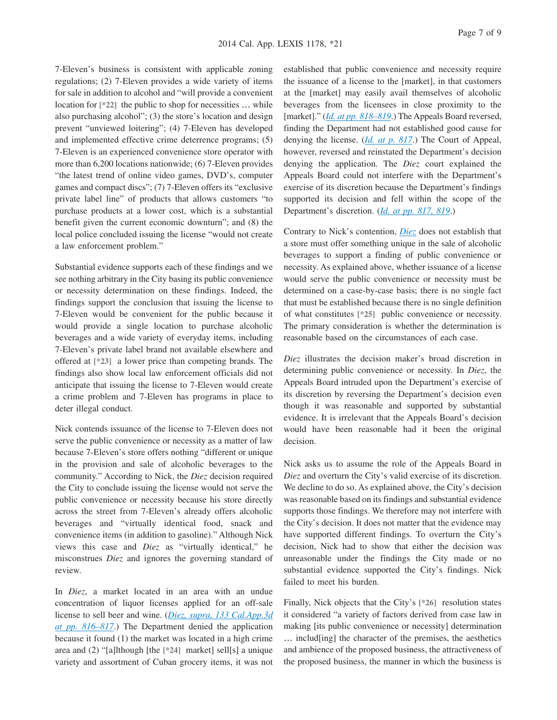7-Eleven's business is consistent with applicable zoning regulations; (2) 7-Eleven provides a wide variety of items for sale in addition to alcohol and "will provide a convenient location for  $[^*22]$  the public to shop for necessities ... while also purchasing alcohol"; (3) the store's location and design prevent "unviewed loitering"; (4) 7-Eleven has developed and implemented effective crime deterrence programs; (5) 7-Eleven is an experienced convenience store operator with more than 6,200 locations nationwide; (6) 7-Eleven provides "the latest trend of online video games, DVD's, computer games and compact discs"; (7) 7-Eleven offers its "exclusive private label line" of products that allows customers "to purchase products at a lower cost, which is a substantial benefit given the current economic downturn"; and (8) the local police concluded issuing the license "would not create a law enforcement problem."

Substantial evidence supports each of these findings and we see nothing arbitrary in the City basing its public convenience or necessity determination on these findings. Indeed, the findings support the conclusion that issuing the license to 7-Eleven would be convenient for the public because it would provide a single location to purchase alcoholic beverages and a wide variety of everyday items, including 7-Eleven's private label brand not available elsewhere and offered at **[\*23]** a lower price than competing brands. The findings also show local law enforcement officials did not anticipate that issuing the license to 7-Eleven would create a crime problem and 7-Eleven has programs in place to deter illegal conduct.

Nick contends issuance of the license to 7-Eleven does not serve the public convenience or necessity as a matter of law because 7-Eleven's store offers nothing "different or unique in the provision and sale of alcoholic beverages to the community." According to Nick, the *Diez* decision required the City to conclude issuing the license would not serve the public convenience or necessity because his store directly across the street from 7-Eleven's already offers alcoholic beverages and "virtually identical food, snack and convenience items (in addition to gasoline)." Although Nick views this case and *Diez* as "virtually identical," he misconstrues *Diez* and ignores the governing standard of review.

In *Diez*, a market located in an area with an undue concentration of liquor licenses applied for an off-sale license to sell beer and wine. (*[Diez, supra, 133 Cal.App.3d](http://advance.lexis.com/api/document?collection=cases&id=urn:contentItem:3RX6-MGK0-003D-J4R3-00000-00&context=1000516) [at pp. 816–817](http://advance.lexis.com/api/document?collection=cases&id=urn:contentItem:3RX6-MGK0-003D-J4R3-00000-00&context=1000516)*.) The Department denied the application because it found (1) the market was located in a high crime area and (2) "[a]lthough [the **[\*24]** market] sell[s] a unique variety and assortment of Cuban grocery items, it was not

established that public convenience and necessity require the issuance of a license to the [market], in that customers at the [market] may easily avail themselves of alcoholic beverages from the licensees in close proximity to the [market]." (*[Id. at pp. 818–819](http://advance.lexis.com/api/document?collection=cases&id=urn:contentItem:3RX6-MGK0-003D-J4R3-00000-00&context=1000516)*.) The Appeals Board reversed, finding the Department had not established good cause for denying the license. (*[Id. at p. 817](http://advance.lexis.com/api/document?collection=cases&id=urn:contentItem:3RX6-MGK0-003D-J4R3-00000-00&context=1000516)*.) The Court of Appeal, however, reversed and reinstated the Department's decision denying the application. The *Diez* court explained the Appeals Board could not interfere with the Department's exercise of its discretion because the Department's findings supported its decision and fell within the scope of the Department's discretion. (*[Id. at pp. 817, 819](http://advance.lexis.com/api/document?collection=cases&id=urn:contentItem:3RX6-MGK0-003D-J4R3-00000-00&context=1000516)*.)

Contrary to Nick's contention, *[Diez](http://advance.lexis.com/api/document?collection=cases&id=urn:contentItem:3RX6-MGK0-003D-J4R3-00000-00&context=1000516)* does not establish that a store must offer something unique in the sale of alcoholic beverages to support a finding of public convenience or necessity. As explained above, whether issuance of a license would serve the public convenience or necessity must be determined on a case-by-case basis; there is no single fact that must be established because there is no single definition of what constitutes **[\*25]** public convenience or necessity. The primary consideration is whether the determination is reasonable based on the circumstances of each case.

*Diez* illustrates the decision maker's broad discretion in determining public convenience or necessity. In *Diez*, the Appeals Board intruded upon the Department's exercise of its discretion by reversing the Department's decision even though it was reasonable and supported by substantial evidence. It is irrelevant that the Appeals Board's decision would have been reasonable had it been the original decision.

Nick asks us to assume the role of the Appeals Board in *Diez* and overturn the City's valid exercise of its discretion. We decline to do so. As explained above, the City's decision was reasonable based on its findings and substantial evidence supports those findings. We therefore may not interfere with the City's decision. It does not matter that the evidence may have supported different findings. To overturn the City's decision, Nick had to show that either the decision was unreasonable under the findings the City made or no substantial evidence supported the City's findings. Nick failed to meet his burden.

Finally, Nick objects that the City's **[\*26]** resolution states it considered "a variety of factors derived from case law in making [its public convenience or necessity] determination … includ[ing] the character of the premises, the aesthetics and ambience of the proposed business, the attractiveness of the proposed business, the manner in which the business is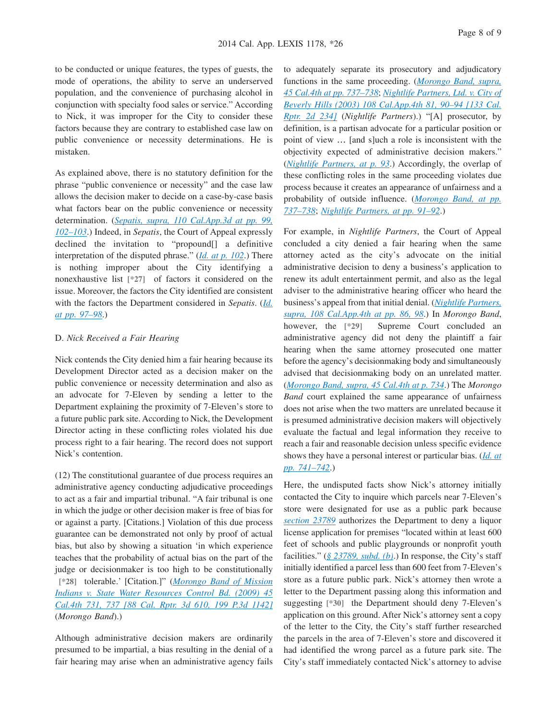to be conducted or unique features, the types of guests, the mode of operations, the ability to serve an underserved population, and the convenience of purchasing alcohol in conjunction with specialty food sales or service." According to Nick, it was improper for the City to consider these factors because they are contrary to established case law on public convenience or necessity determinations. He is mistaken.

As explained above, there is no statutory definition for the phrase "public convenience or necessity" and the case law allows the decision maker to decide on a case-by-case basis what factors bear on the public convenience or necessity determination. (*[Sepatis, supra, 110 Cal.App.3d at pp. 99,](http://advance.lexis.com/api/document?collection=cases&id=urn:contentItem:3S11-SRM0-003C-R443-00000-00&context=1000516) [102–103](http://advance.lexis.com/api/document?collection=cases&id=urn:contentItem:3S11-SRM0-003C-R443-00000-00&context=1000516)*.) Indeed, in *Sepatis*, the Court of Appeal expressly declined the invitation to "propound[] a definitive interpretation of the disputed phrase." (*[Id. at p. 102](http://advance.lexis.com/api/document?collection=cases&id=urn:contentItem:3S11-SRM0-003C-R443-00000-00&context=1000516)*.) There is nothing improper about the City identifying a nonexhaustive list **[\*27]** of factors it considered on the issue. Moreover, the factors the City identified are consistent with the factors the Department considered in *Sepatis*. (*[Id.](http://advance.lexis.com/api/document?collection=cases&id=urn:contentItem:3S11-SRM0-003C-R443-00000-00&context=1000516) [at pp. 97–98](http://advance.lexis.com/api/document?collection=cases&id=urn:contentItem:3S11-SRM0-003C-R443-00000-00&context=1000516)*.)

#### D. *Nick Received a Fair Hearing*

Nick contends the City denied him a fair hearing because its Development Director acted as a decision maker on the public convenience or necessity determination and also as an advocate for 7-Eleven by sending a letter to the Department explaining the proximity of 7-Eleven's store to a future public park site. According to Nick, the Development Director acting in these conflicting roles violated his due process right to a fair hearing. The record does not support Nick's contention.

(12) The constitutional guarantee of due process requires an administrative agency conducting adjudicative proceedings to act as a fair and impartial tribunal. "A fair tribunal is one in which the judge or other decision maker is free of bias for or against a party. [Citations.] Violation of this due process guarantee can be demonstrated not only by proof of actual bias, but also by showing a situation 'in which experience teaches that the probability of actual bias on the part of the judge or decisionmaker is too high to be constitutionally **[\*28]** tolerable.' [Citation.]" (*[Morongo Band of Mission](http://advance.lexis.com/api/document?collection=cases&id=urn:contentItem:4VK2-T3R0-TXFN-82BW-00000-00&context=1000516) [Indians v. State Water Resources Control Bd. \(2009\) 45](http://advance.lexis.com/api/document?collection=cases&id=urn:contentItem:4VK2-T3R0-TXFN-82BW-00000-00&context=1000516) [Cal.4th 731, 737 \[88 Cal. Rptr. 3d 610, 199 P.3d 1142\]](http://advance.lexis.com/api/document?collection=cases&id=urn:contentItem:4VK2-T3R0-TXFN-82BW-00000-00&context=1000516)* (*Morongo Band*).)

Although administrative decision makers are ordinarily presumed to be impartial, a bias resulting in the denial of a fair hearing may arise when an administrative agency fails

to adequately separate its prosecutory and adjudicatory functions in the same proceeding. (*[Morongo Band, supra,](http://advance.lexis.com/api/document?collection=cases&id=urn:contentItem:4VK2-T3R0-TXFN-82BW-00000-00&context=1000516) [45 Cal.4th at pp. 737–738](http://advance.lexis.com/api/document?collection=cases&id=urn:contentItem:4VK2-T3R0-TXFN-82BW-00000-00&context=1000516)*; *[Nightlife Partners, Ltd. v. City of](http://advance.lexis.com/api/document?collection=cases&id=urn:contentItem:48FD-JRY0-0039-40KX-00000-00&context=1000516) [Beverly Hills \(2003\) 108 Cal.App.4th 81, 90–94 \[133 Cal.](http://advance.lexis.com/api/document?collection=cases&id=urn:contentItem:48FD-JRY0-0039-40KX-00000-00&context=1000516) [Rptr. 2d 234\]](http://advance.lexis.com/api/document?collection=cases&id=urn:contentItem:48FD-JRY0-0039-40KX-00000-00&context=1000516)* (*Nightlife Partners*).) "[A] prosecutor, by definition, is a partisan advocate for a particular position or point of view … [and s]uch a role is inconsistent with the objectivity expected of administrative decision makers." (*[Nightlife Partners, at p. 93](http://advance.lexis.com/api/document?collection=cases&id=urn:contentItem:48FD-JRY0-0039-40KX-00000-00&context=1000516)*.) Accordingly, the overlap of these conflicting roles in the same proceeding violates due process because it creates an appearance of unfairness and a probability of outside influence. (*[Morongo Band, at pp.](http://advance.lexis.com/api/document?collection=cases&id=urn:contentItem:4VK2-T3R0-TXFN-82BW-00000-00&context=1000516) [737–738](http://advance.lexis.com/api/document?collection=cases&id=urn:contentItem:4VK2-T3R0-TXFN-82BW-00000-00&context=1000516)*; *[Nightlife Partners, at pp. 91–92](http://advance.lexis.com/api/document?collection=cases&id=urn:contentItem:48FD-JRY0-0039-40KX-00000-00&context=1000516)*.)

For example, in *Nightlife Partners*, the Court of Appeal concluded a city denied a fair hearing when the same attorney acted as the city's advocate on the initial administrative decision to deny a business's application to renew its adult entertainment permit, and also as the legal adviser to the administrative hearing officer who heard the business's appeal from that initial denial. (*[Nightlife Partners,](http://advance.lexis.com/api/document?collection=cases&id=urn:contentItem:48FD-JRY0-0039-40KX-00000-00&context=1000516) [supra, 108 Cal.App.4th at pp. 86, 98](http://advance.lexis.com/api/document?collection=cases&id=urn:contentItem:48FD-JRY0-0039-40KX-00000-00&context=1000516)*.) In *Morongo Band*, however, the **[\*29]** Supreme Court concluded an administrative agency did not deny the plaintiff a fair hearing when the same attorney prosecuted one matter before the agency's decisionmaking body and simultaneously advised that decisionmaking body on an unrelated matter. (*[Morongo Band, supra, 45 Cal.4th at p. 734](http://advance.lexis.com/api/document?collection=cases&id=urn:contentItem:4VK2-T3R0-TXFN-82BW-00000-00&context=1000516)*.) The *Morongo Band* court explained the same appearance of unfairness does not arise when the two matters are unrelated because it is presumed administrative decision makers will objectively evaluate the factual and legal information they receive to reach a fair and reasonable decision unless specific evidence shows they have a personal interest or particular bias. (*[Id. at](http://advance.lexis.com/api/document?collection=cases&id=urn:contentItem:4VK2-T3R0-TXFN-82BW-00000-00&context=1000516) [pp. 741–742](http://advance.lexis.com/api/document?collection=cases&id=urn:contentItem:4VK2-T3R0-TXFN-82BW-00000-00&context=1000516)*.)

Here, the undisputed facts show Nick's attorney initially contacted the City to inquire which parcels near 7-Eleven's store were designated for use as a public park because *[section 23789](http://advance.lexis.com/api/document?collection=statutes-legislation&id=urn:contentItem:4WN7-TBN0-R03K-T31D-00000-00&context=1000516)* authorizes the Department to deny a liquor license application for premises "located within at least 600 feet of schools and public playgrounds or nonprofit youth facilities." (*[§ 23789, subd. \(b\)](http://advance.lexis.com/api/document?collection=statutes-legislation&id=urn:contentItem:4WN7-TBN0-R03K-T31D-00000-00&context=1000516)*.) In response, the City's staff initially identified a parcel less than 600 feet from 7-Eleven's store as a future public park. Nick's attorney then wrote a letter to the Department passing along this information and suggesting **[\*30]** the Department should deny 7-Eleven's application on this ground. After Nick's attorney sent a copy of the letter to the City, the City's staff further researched the parcels in the area of 7-Eleven's store and discovered it had identified the wrong parcel as a future park site. The City's staff immediately contacted Nick's attorney to advise